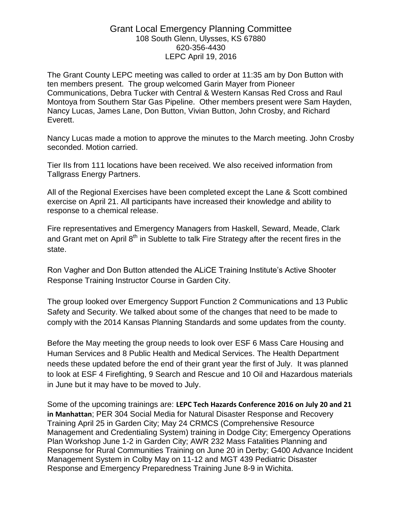## Grant Local Emergency Planning Committee 108 South Glenn, Ulysses, KS 67880 620-356-4430 LEPC April 19, 2016

The Grant County LEPC meeting was called to order at 11:35 am by Don Button with ten members present. The group welcomed Garin Mayer from Pioneer Communications, Debra Tucker with Central & Western Kansas Red Cross and Raul Montoya from Southern Star Gas Pipeline. Other members present were Sam Hayden, Nancy Lucas, James Lane, Don Button, Vivian Button, John Crosby, and Richard Everett.

Nancy Lucas made a motion to approve the minutes to the March meeting. John Crosby seconded. Motion carried.

Tier IIs from 111 locations have been received. We also received information from Tallgrass Energy Partners.

All of the Regional Exercises have been completed except the Lane & Scott combined exercise on April 21. All participants have increased their knowledge and ability to response to a chemical release.

Fire representatives and Emergency Managers from Haskell, Seward, Meade, Clark and Grant met on April  $8<sup>th</sup>$  in Sublette to talk Fire Strategy after the recent fires in the state.

Ron Vagher and Don Button attended the ALiCE Training Institute's Active Shooter Response Training Instructor Course in Garden City.

The group looked over Emergency Support Function 2 Communications and 13 Public Safety and Security. We talked about some of the changes that need to be made to comply with the 2014 Kansas Planning Standards and some updates from the county.

Before the May meeting the group needs to look over ESF 6 Mass Care Housing and Human Services and 8 Public Health and Medical Services. The Health Department needs these updated before the end of their grant year the first of July. It was planned to look at ESF 4 Firefighting, 9 Search and Rescue and 10 Oil and Hazardous materials in June but it may have to be moved to July.

Some of the upcoming trainings are: **LEPC Tech Hazards Conference 2016 on July 20 and 21 in Manhattan**; PER 304 Social Media for Natural Disaster Response and Recovery Training April 25 in Garden City; May 24 CRMCS (Comprehensive Resource Management and Credentialing System) training in Dodge City; Emergency Operations Plan Workshop June 1-2 in Garden City; AWR 232 Mass Fatalities Planning and Response for Rural Communities Training on June 20 in Derby; G400 Advance Incident Management System in Colby May on 11-12 and MGT 439 Pediatric Disaster Response and Emergency Preparedness Training June 8-9 in Wichita.